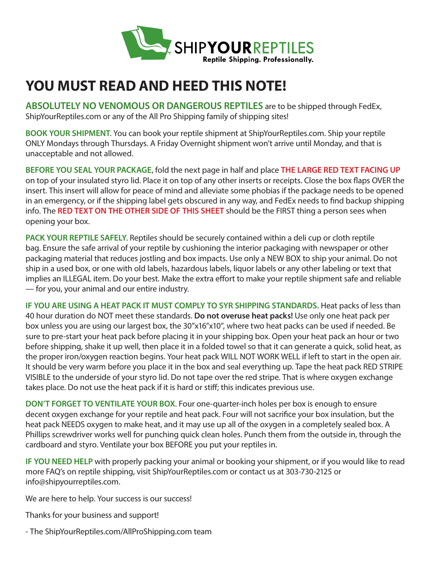

## **YOU MUST READ AND HEED THIS NOTE!**

**ABSOLUTELY NO VENOMOUS OR DANGEROUS REPTILES** are to be shipped through FedEx, ShipYourReptiles.com or any of the All Pro Shipping family of shipping sites!

**BOOK YOUR SHIPMENT**. You can book your reptile shipment at ShipYourReptiles.com. Ship your reptile ONLY Mondays through Thursdays. A Friday Overnight shipment won't arrive until Monday, and that is unacceptable and not allowed.

**BEFORE YOU SEAL YOUR PACKAGE**, fold the next page in half and place **THE LARGE RED TEXT FACING UP** on top of your insulated styro lid. Place it on top of any other inserts or receipts. Close the box flaps OVER the insert. This insert will allow for peace of mind and alleviate some phobias if the package needs to be opened in an emergency, or if the shipping label gets obscured in any way, and FedEx needs to find backup shipping info. The **RED TEXT ON THE OTHER SIDE OF THIS SHEET** should be the FIRST thing a person sees when opening your box.

**PACK YOUR REPTILE SAFELY**. Reptiles should be securely contained within a deli cup or cloth reptile bag. Ensure the safe arrival of your reptile by cushioning the interior packaging with newspaper or other packaging material that reduces jostling and box impacts. Use only a NEW BOX to ship your animal. Do not ship in a used box, or one with old labels, hazardous labels, liquor labels or any other labeling or text that implies an ILLEGAL item. Do your best. Make the extra effort to make your reptile shipment safe and reliable — for you, your animal and our entire industry.

**IF YOU ARE USING A HEAT PACK IT MUST COMPLY TO SYR SHIPPING STANDARDS.** Heat packs of less than 40 hour duration do NOT meet these standards. **Do not overuse heat packs!** Use only one heat pack per box unless you are using our largest box, the 30"x16"x10", where two heat packs can be used if needed. Be sure to pre-start your heat pack before placing it in your shipping box. Open your heat pack an hour or two before shipping, shake it up well, then place it in a folded towel so that it can generate a quick, solid heat, as the proper iron/oxygen reaction begins. Your heat pack WILL NOT WORK WELL if left to start in the open air. It should be very warm before you place it in the box and seal everything up. Tape the heat pack RED STRIPE VISIBLE to the underside of your styro lid. Do not tape over the red stripe. That is where oxygen exchange takes place. Do not use the heat pack if it is hard or stiff; this indicates previous use.

**DON'T FORGET TO VENTILATE YOUR BOX**. Four one-quarter-inch holes per box is enough to ensure decent oxygen exchange for your reptile and heat pack. Four will not sacrifice your box insulation, but the heat pack NEEDS oxygen to make heat, and it may use up all of the oxygen in a completely sealed box. A Phillips screwdriver works well for punching quick clean holes. Punch them from the outside in, through the cardboard and styro. Ventilate your box BEFORE you put your reptiles in.

**IF YOU NEED HELP** with properly packing your animal or booking your shipment, or if you would like to read more FAQ's on reptile shipping, visit ShipYourReptiles.com or contact us at 303-730-2125 or info@shipyourreptiles.com.

We are here to help. Your success is our success!

Thanks for your business and support!

- The ShipYourReptiles.com/AllProShipping.com team